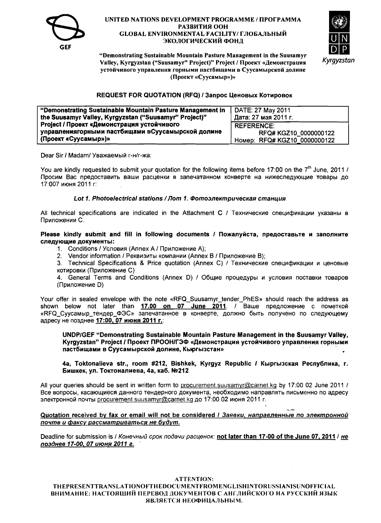



"Demonstrating Sustainable Mountain Pasture Management in the Suusamyr Valley, Kyrgyzstan ("Suusamyr" Project)" Project / Проект «Демонстрация устойчивого управления горными пастбищами в Суусамырской долине (Проект «Суусамыр»)»

### REQUEST FOR QUOTATION (RFQ) / Запрос Ценовых Котировок

| "Demonstrating Sustainable Mountain Pasture Management in | DATE: 27 May 2011            |  |  |
|-----------------------------------------------------------|------------------------------|--|--|
| the Suusamyr Valley, Kyrgyzstan ("Suusamyr" Project)"     | Дата: 27 мая 2011 г.         |  |  |
| Project / Проект «Демонстрация устойчивого                | <b>REFERENCE:</b>            |  |  |
| управлениягорными пастбищами вСуусамырской долине         | RFQ# KGZ10_0000000122        |  |  |
| (Проект «Суусамыр»)»                                      | Hoмep: RFQ# KGZ10 0000000122 |  |  |

Dear Sir / Madam/ Уважаемый г-н/г-жа:

You are kindly requested to submit your quotation for the following items before 17:00 on the  $7<sup>th</sup>$  June, 2011 / Просим Вас предоставить ваши расценки в запечатанном конверте на нижеследующие товары до 17:007 июня 2011 г:

### Lot 1. Photoelectrical stations / Лот 1. Фотоэлектрическая станция

All technical specifications are indicated in the Attachment C / Технические спецификации указаны в Приложении С.

Please kindly submit and fill in following documents / Пожалуйста, предоставьте и заполните следующие документы:

- 1. Conditions / Условия (Annex A / Приложение A);
- 2. Vendor information / Реквизиты компании (Annex B / Приложение В);

3. Technical Specifications & Price quotation (Annex C) / Технические спецификации и ценовые котировки (Приложение С)

4. General Terms and Conditions (Annex D) / Общие процедуры и условия поставки товаров (Приложение D)

Your offer in sealed envelope with the note «RFQ\_Suusamyr\_tender\_PhES» should reach the address as shown below not later than 17.00 on 07 June 2011. / Ваше предложение с пометкой «RFQ Суусамыр тендер ФЭС» запечатанное в конверте, должно быть получено по следующему адресу не позднее 17:00, 07 июня 2011 г.

UNDP/GEF "Demonstrating Sustainable Mountain Pasture Management in the Suusamyr Valley, Kyrgyzstan" Project / Проект ПРООН/ГЭФ «Демонстрация устойчивого управления горными пастбищами в Суусамырской долине, Кьюгызстан»

4a, Toktonalieva str., room #212, Bishkek, Kyrgyz Republic / Кыргызская Республика, г. Бишкек, ул. Токтоналиева, 4а, каб. №212

All your queries should be sent in written form to procurement suusamyr@carnet kg by 17:00 02 June 2011 / Все вопросы, касающиеся данного тендерного документа, необходимо направлять письменно по адресу электронной почты procurement.suusamyr@carnet.kg до 17:00 02 июня 2011 г.

Quotation received by fax or email will not be considered / Заявки, направленные по электронной почте и факсу рассматриваться не будут.

Deadline for submission is / Конечный срок подачи расценок: not later than 17-00 of the June 07, 2011 / не позднее 17-00, 07 июня 2011 г.

### **ATTENTION:**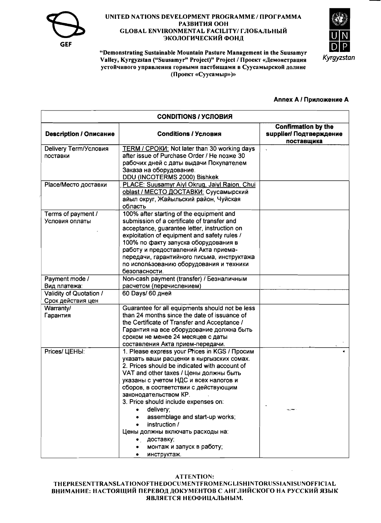



"Demonstrating Sustainable Mountain Pasture Management in the Suusamyr Valley, Kyrgyzstan ("Suusamyr" Project)" Project / Проект «Демонстрация устойчивого управления горными пастбищами в Суусамырской долине (Проект «Суусамыр»)»

### Annex A / Приложение A

| <b>CONDITIONS / УСЛОВИЯ</b>                  |                                                                                                                                                                                                                                                                                                                                                                                                                                                                                                      |                                                                     |  |
|----------------------------------------------|------------------------------------------------------------------------------------------------------------------------------------------------------------------------------------------------------------------------------------------------------------------------------------------------------------------------------------------------------------------------------------------------------------------------------------------------------------------------------------------------------|---------------------------------------------------------------------|--|
| <b>Description / Описание</b>                | <b>Conditions / Условия</b>                                                                                                                                                                                                                                                                                                                                                                                                                                                                          | <b>Confirmation by the</b><br>supplier/ Подтверждение<br>поставщика |  |
| Delivery Term/Условия<br>поставки            | TERM / CPOKII: Not later than 30 working days<br>after issue of Purchase Order / He noswe 30<br>рабочих дней с даты выдачи Покупателем<br>Заказа на оборудование.<br>DDU (INCOTERMS 2000) Bishkek                                                                                                                                                                                                                                                                                                    |                                                                     |  |
| Place/Место доставки                         | PLACE: Suusamyr Aiyl Okrug, Jaiyl Raion, Chui<br>oblast / МЕСТО ДОСТАВКИ: Суусамырский<br>айыл округ, Жайыльский район, Чуйская<br>область                                                                                                                                                                                                                                                                                                                                                           |                                                                     |  |
| Terms of payment /<br>Условия оплаты         | 100% after starting of the equipment and<br>submission of a certificate of transfer and<br>acceptance, guarantee letter, instruction on<br>exploitation of equipment and safety rules /<br>100% по факту запуска оборудования в<br>работу и предоставлений Акта приема-<br>передачи, гарантийного письма, инструктажа<br>по использованию оборудования и техники<br>безопасности.                                                                                                                    |                                                                     |  |
| Payment mode /<br>Вид платежа:               | Non-cash payment (transfer) / Безналичным<br>расчетом (перечислением)                                                                                                                                                                                                                                                                                                                                                                                                                                |                                                                     |  |
| Validity of Quotation /<br>Срок действия цен | 60 Days/ 60 дней                                                                                                                                                                                                                                                                                                                                                                                                                                                                                     |                                                                     |  |
| Warranty/<br>Гарантия                        | Guarantee for all equipments should not be less<br>than 24 months since the date of issuance of<br>the Certificate of Transfer and Acceptance /<br>Гарантия на все оборудование должна быть<br>сроком не менее 24 месяцев с даты<br>составления Акта прием-передачи.                                                                                                                                                                                                                                 |                                                                     |  |
| Prices/ ЦЕНЫ:                                | 1. Please express your Prices in KGS / Просим<br>указать ваши расценки в кыргызских сомах.<br>2. Prices should be indicated with account of<br>VAT and other taxes / Цены должны быть<br>указаны с учетом НДС и всех налогов и<br>сборов, в соответствии с действующим<br>законодательством КР.<br>3. Price should include expenses on:<br>delivery;<br>assemblage and start-up works;<br>instruction /<br>Цены должны включать расходы на:<br>доставку;<br>монтаж и запуск в работу;<br>инструктаж. |                                                                     |  |

#### **ATTENTION:**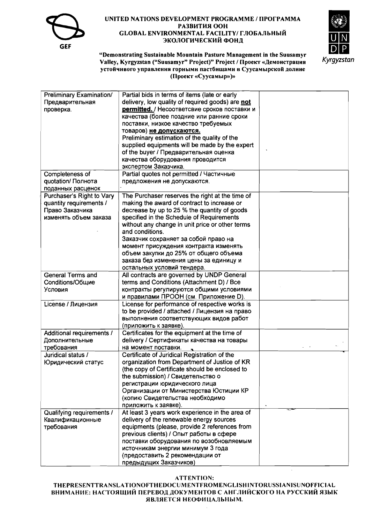



"Demonstrating Sustainable Mountain Pasture Management in the Suusamyr Valley, Kyrgyzstan ("Suusamyr" Project)" Project / Проект «Демонстрация устойчивого управления горными пастбищами в Суусамырской долнне (Проект «Суусамыр»)»

| Preliminary Examination/  | Partial bids in terms of items (late or early    |  |
|---------------------------|--------------------------------------------------|--|
| Предварительная           | delivery, low quality of required goods) are not |  |
|                           | permitted. / Несоответсвие сроков поставки и     |  |
| проверка.                 |                                                  |  |
|                           | качества (более поздние или ранние сроки         |  |
|                           | поставки, низкое качество требуемых              |  |
|                           | товаров) не допускаются.                         |  |
|                           | Preliminary estimation of the quality of the     |  |
|                           | supplied equipments will be made by the expert   |  |
|                           | of the buyer / Предварительная оценка            |  |
|                           | качества оборудования проводится                 |  |
|                           | экспертом Заказчика.                             |  |
| Completeness of           | Partial quotes not permitted / Частичные         |  |
| quotation/ Полнота        | предложения не допускаются.                      |  |
| поданных расценок         |                                                  |  |
| Purchaser's Right to Vary | The Purchaser reserves the right at the time of  |  |
| quantity requirements /   | making the award of contract to increase or      |  |
| Право Заказчика           | decrease by up to 25 % the quantity of goods     |  |
| изменять объем заказа     | specified in the Schedule of Requirements        |  |
|                           | without any change in unit price or other terms  |  |
|                           | and conditions.                                  |  |
|                           | Заказчик сохраняет за собой право на             |  |
|                           | момент присуждения контракта изменять            |  |
|                           | объем закупки до 25% от общего объема            |  |
|                           | заказа без изменения цены за единицу и           |  |
|                           | остальных условий тендера.                       |  |
| General Terms and         | All contracts are governed by UNDP General       |  |
| Conditions/Общие          | terms and Conditions (Attachment D) / Bce        |  |
| Условия                   | контракты регулируются общими условиями          |  |
|                           | и правилами ПРООН (см. Приложение D).            |  |
| License / Лицензия        | License for performance of respective works is   |  |
|                           | to be provided / attached / Лицензия на право    |  |
|                           |                                                  |  |
|                           | выполнения соответствующих видов работ           |  |
|                           | (приложить к заявке).                            |  |
| Additional requirements / | Certificates for the equipment at the time of    |  |
| Дополнительные            | delivery / Сертификаты качества на товары        |  |
| требования                | на момент поставки.                              |  |
| Juridical status /        | Certificate of Juridical Registration of the     |  |
| Юридический статус        | organization from Department of Justice of KR    |  |
|                           | (the copy of Certificate should be enclosed to   |  |
|                           | the submission) / Свидетельство о                |  |
|                           | регистрации юридического лица                    |  |
|                           | Организации от Министерства Юстиции КР           |  |
|                           | (копию Свидетельства необходимо                  |  |
|                           | приложить к заявке).                             |  |
| Qualifying requirements / | At least 3 years work experience in the area of  |  |
| Квалификационные          | delivery of the renewable energy sources         |  |
| требования                | equipments (please, provide 2 references from    |  |
|                           | previous clients) / Опыт работы в сфере          |  |
|                           | поставки оборудования по возобновляемым          |  |
|                           | источникам энергии минимум 3 года                |  |
|                           | (предоставить 2 рекомендации от                  |  |
|                           | предыдущих Заказчиков)                           |  |

### **ATTENTION:**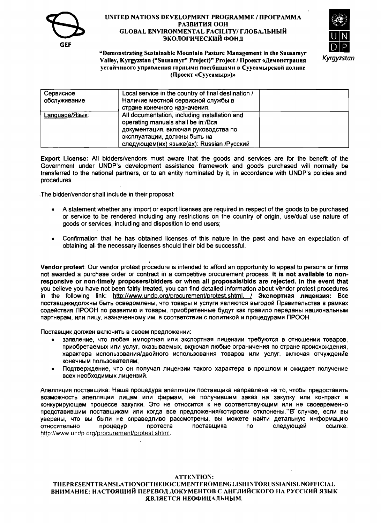



"Demonstrating Sustainable Mountain Pasture Management in the Suusamyr Valley, Kyrgyzstan ("Suusamyr" Project)" Project / Проект «Демонстрация устойчивого управления горными пастбищами в Суусамырской долине (Проект «Суусамыр»)»

| Сервисное<br>обслуживание | Local service in the country of final destination /<br>Наличие местной сервисной службы в<br>стране конечного назначения.                                                                                |  |
|---------------------------|----------------------------------------------------------------------------------------------------------------------------------------------------------------------------------------------------------|--|
| Language/Язык:            | All documentation, including installation and<br>operating manuals shall be in:/Вся<br>документация, включая руководства по<br>эксплуатации, должны быть на<br>следующем(их) языке(ах): Russian /Русский |  |

Export License: All bidders/vendors must aware that the goods and services are for the benefit of the Government under UNDP's development assistance framework and goods purchased will normally be transferred to the national partners, or to an entity nominated by it, in accordance with UNDP's policies and procedures.

The bidder/vendor shall include in their proposal:

- A statement whether any import or export licenses are required in respect of the goods to be purchased or service to be rendered including any restrictions on the country of origin, use/dual use nature of goods or services, including and disposition to end users:
- Confirmation that he has obtained licenses of this nature in the past and have an expectation of obtaining all the necessary licenses should their bid be successful.

Vendor protest: Our vendor protest procedure is intended to afford an opportunity to appeal to persons or firms not awarded a purchase order or contract in a competitive procurement process. It is not available to nonresponsive or non-timely proposers/bidders or when all proposals/bids are rejected. In the event that you believe you have not been fairly treated, you can find detailed information about vendor protest procedures in the following link: http://www.undp.org/procurement/protest.shtml. / Экспортная лицензия: Все поставщикидолжны быть осведомлены, что товары и услуги являются выгодой Правительства в рамках содействия ПРООН по развитию и товары, приобретенные будут как правило переданы национальным партнерам, или лицу, назначенному им, в соответствии с политикой и процедурами ПРООН.

Поставщик должен включить в своем предложении:

- заявление, что любая импортная или экспортная лицензии требуются в отношении товаров, приобретаемых или услуг, оказываемых, включая любые ограничения по стране происхождения, характера использования/двойного использования товаров или услуг, включая отчуждение конечным пользователям;
- Подтверждение, что он получал лицензии такого характера в прошлом и ожидает получение всех необходимых лицензий.

Апелляция поставщика: Наша процедура апелляции поставщика направлена на то, чтобы предоставить возможность апелляции лицам или фирмам, не получившим заказ на закупку или контракт в конкурирующем процессе закупки. Это не относится к не соответствующим или не своевременно представившим поставщикам или когда все предложения/котировки отклонены. В случае, если вы уверены, что вы были не справедливо рассмотрены, вы можете найти детальную информацию ссылке: протеста поставшика следующей **ОТНОСИТЕЛЬНО** процедур **no** http://www.undp.org/procurement/protest.shtml.

### **ATTENTION:**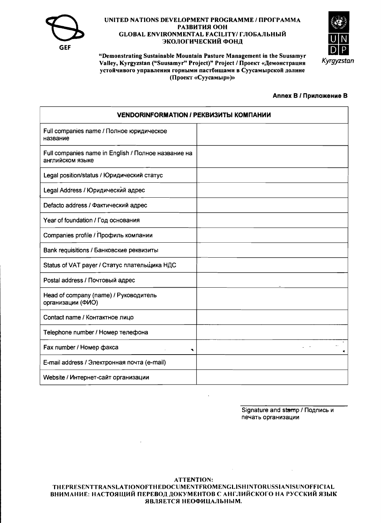



"Demonstrating Sustainable Mountain Pasture Management in the Suusamyr Valley, Kyrgyzstan ("Suusamyr" Project)" Project / Проект «Демонстрация устойчивого управления горными пастбищами в Суусамырской долине (Проект «Суусамыр»)»

### **Annex B / Приложение В**

| <b>VENDORINFORMATION / РЕКВИЗИТЫ КОМПАНИИ</b>                           |  |  |  |
|-------------------------------------------------------------------------|--|--|--|
| Full companies name / Полное юридическое<br>название                    |  |  |  |
| Full companies name in English / Полное название на<br>английском языке |  |  |  |
| Legal position/status / Юридический статус                              |  |  |  |
| Legal Address / Юридический адрес                                       |  |  |  |
| Defacto address / Фактический адрес                                     |  |  |  |
| Year of foundation / Год основания                                      |  |  |  |
| Companies profile / Профиль компании                                    |  |  |  |
| Bank requisitions / Банковские реквизиты                                |  |  |  |
| Status of VAT payer / Статус плательщика НДС                            |  |  |  |
| Postal address / Почтовый адрес                                         |  |  |  |
| Head of company (name) / Руководитель<br>организации (ФИО)              |  |  |  |
| Contact name / Контактное лицо                                          |  |  |  |
| Telephone number / Номер телефона                                       |  |  |  |
| Fax number / Номер факса<br>۰                                           |  |  |  |
| E-mail address / Электронная почта (e-mail)                             |  |  |  |
| Website / Интернет-сайт организации                                     |  |  |  |

Signature and stamp / Подпись и печать организации

**ATTENTION:**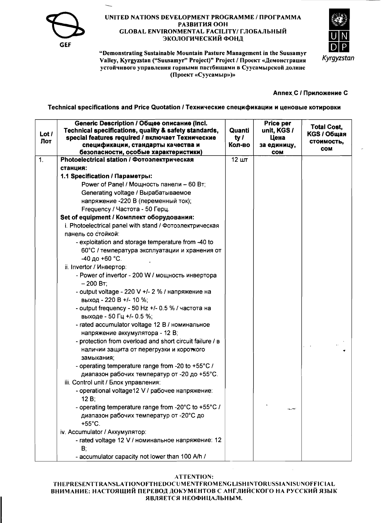



"Demonstrating Sustainable Mountain Pasture Management in the Suusamyr Valley, Kyrgyzstan ("Suusamyr" Project)" Project / Проект «Демонстрация устойчивого управления горными пастбищами в Суусамырской долине (Проект «Суусамыр»)»

### Annex C / Приложение С

Technical specifications and Price Quotation / Технические спецификации и ценовые котировки

| Lot /<br>Лот | Generic Description / Общее описание (Incl.<br>Technical specifications, quality & safety standards,<br>special features required / включает Технические<br>спецификации, стандарты качества и<br>безопасности, особые характеристики) | Quanti<br>ty $l$<br>Кол-во | Price per<br>unit, KGS /<br>Цена<br>за единицу,<br><b>COM</b> | <b>Total Cost,</b><br><b>KGS / Общая</b><br>стоимость,<br><b>COM</b> |
|--------------|----------------------------------------------------------------------------------------------------------------------------------------------------------------------------------------------------------------------------------------|----------------------------|---------------------------------------------------------------|----------------------------------------------------------------------|
| 1.           | Photoelectrical station / Фотоэлектрическая                                                                                                                                                                                            | 12 шт                      |                                                               |                                                                      |
|              | станция:                                                                                                                                                                                                                               |                            |                                                               |                                                                      |
|              | 1.1 Specification / Параметры:                                                                                                                                                                                                         |                            |                                                               |                                                                      |
|              | Power of Panel / Мощность панели - 60 Вт;                                                                                                                                                                                              |                            |                                                               |                                                                      |
|              | Generating voltage / Вырабатываемое                                                                                                                                                                                                    |                            |                                                               |                                                                      |
|              | напряжение -220 В (переменный ток);                                                                                                                                                                                                    |                            |                                                               |                                                                      |
|              | Frequency / Частота - 50 Герц.                                                                                                                                                                                                         |                            |                                                               |                                                                      |
|              | Set of equipment / Комплект оборудования:                                                                                                                                                                                              |                            |                                                               |                                                                      |
|              | i. Photoelectrical panel with stand / Фотоэлектрическая                                                                                                                                                                                |                            |                                                               |                                                                      |
|              | панель со стойкой:                                                                                                                                                                                                                     |                            |                                                               |                                                                      |
|              | - exploitation and storage temperature from -40 to                                                                                                                                                                                     |                            |                                                               |                                                                      |
|              | 60°С / температура эксплуатации и хранения от                                                                                                                                                                                          |                            |                                                               |                                                                      |
|              | -40 до +60 °С.                                                                                                                                                                                                                         |                            |                                                               |                                                                      |
|              | ii. Invertor / Инвертор:                                                                                                                                                                                                               |                            |                                                               |                                                                      |
|              | - Power of invertor - 200 W / мощность инвертора                                                                                                                                                                                       |                            |                                                               |                                                                      |
|              | $-200 BT$ ;                                                                                                                                                                                                                            |                            |                                                               |                                                                      |
|              | - output voltage - 220 V +/- 2 % / напряжение на<br>выход - 220 В +/- 10 %;                                                                                                                                                            |                            |                                                               |                                                                      |
|              | - output frequency - 50 Hz +/- 0.5 % / частота на<br>выходе - 50 Гц +/- 0.5 %;                                                                                                                                                         |                            |                                                               |                                                                      |
|              | - rated accumulator voltage 12 В / номинальное<br>напряжение аккумулятора - 12 В;                                                                                                                                                      |                            |                                                               |                                                                      |
|              | - protection from overload and short circuit failure / B                                                                                                                                                                               |                            |                                                               |                                                                      |
|              | наличии защита от перегрузки и короткого<br>замыкания;                                                                                                                                                                                 |                            |                                                               |                                                                      |
|              | - operating temperature range from -20 to +55°C /                                                                                                                                                                                      |                            |                                                               |                                                                      |
|              | диапазон рабочих температур от -20 до +55°С.                                                                                                                                                                                           |                            |                                                               |                                                                      |
|              | iii. Control unit / Блок управления:                                                                                                                                                                                                   |                            |                                                               |                                                                      |
|              | - operational voltage12 V / рабочее напряжение:                                                                                                                                                                                        |                            |                                                               |                                                                      |
|              | $12B$ ;                                                                                                                                                                                                                                |                            |                                                               |                                                                      |
|              | - operating temperature range from -20°C to +55°C /                                                                                                                                                                                    |                            |                                                               |                                                                      |
|              | диапазон рабочих температур от -20°С до<br>$+55^{\circ}$ C.                                                                                                                                                                            |                            |                                                               |                                                                      |
|              | iv. Accumulator / Аккумулятор:                                                                                                                                                                                                         |                            |                                                               |                                                                      |
|              | - rated voltage 12 V / номинальное напряжение: 12<br>B;                                                                                                                                                                                |                            |                                                               |                                                                      |
|              | - accumulator capacity not lower than 100 A/h /                                                                                                                                                                                        |                            |                                                               |                                                                      |

#### **ATTENTION:**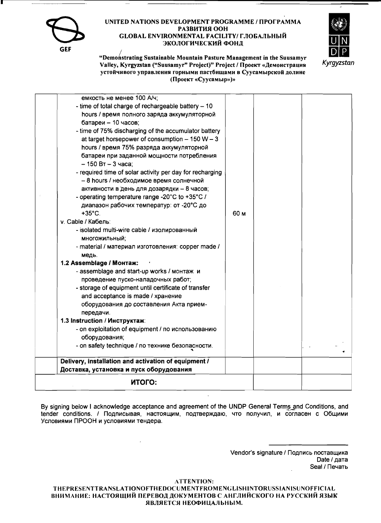GEF



"Demonstrating Sustainable Mountain Pasture Management in the Suusamyr Valley, Kyrgyzstan ("Suusamyr" Project)" Project / Проект «Демонстрация устойчивого управления горными пастбищами в Суусамырской долине (Проект «Суусамыр»)»

| емкость не менее 100 А/ч;                                         |      |  |  |
|-------------------------------------------------------------------|------|--|--|
| - time of total charge of rechargeable battery - 10               |      |  |  |
| hours / время полного заряда аккумуляторной                       |      |  |  |
| батареи - 10 часов;                                               |      |  |  |
| - time of 75% discharging of the accumulator battery              |      |  |  |
| at target horsepower of consumption $-150 W - 3$                  |      |  |  |
| hours / время 75% разряда аккумуляторной                          |      |  |  |
| батареи при заданной мощности потребления                         |      |  |  |
| $-150 Bt - 3$ часа;                                               |      |  |  |
| - required time of solar activity per day for recharging          |      |  |  |
| - 8 hours / необходимое время солнечной                           |      |  |  |
| активности в день для дозарядки - 8 часов;                        |      |  |  |
| - operating temperature range -20°C to +35°C /                    |      |  |  |
| диапазон рабочих температур: от -20°С до                          |      |  |  |
| $+35^{\circ}$ C.                                                  | 60 м |  |  |
| v. Cable / Кабель:                                                |      |  |  |
| - isolated multi-wire cable / изолированный                       |      |  |  |
| многожильный;                                                     |      |  |  |
| - material / материал изготовления: copper made /                 |      |  |  |
| медь.                                                             |      |  |  |
| 1.2 Assemblage / Монтаж:                                          |      |  |  |
| - assemblage and start-up works / MOHTAX M                        |      |  |  |
| проведение пуско-наладочных работ;                                |      |  |  |
| - storage of equipment until certificate of transfer              |      |  |  |
| and acceptance is made / хранение                                 |      |  |  |
| оборудования до составления Акта прием-                           |      |  |  |
| передачи.                                                         |      |  |  |
| 1.3 Instruction / Инструктаж:                                     |      |  |  |
| - on exploitation of equipment / по использованию                 |      |  |  |
| оборудования;<br>- on safety technique / по технике безопасности. |      |  |  |
|                                                                   |      |  |  |
| Delivery, installation and activation of equipment /              |      |  |  |
| Доставка, установка и пуск оборудования                           |      |  |  |
| итого:                                                            |      |  |  |

By signing below I acknowledge acceptance and agreement of the UNDP General Terms and Conditions, and tender conditions. / Подписывая, настоящим, подтверждаю, что получил, и согласен с Общими Условиями ПРООН и условиями тендера.

> Vendor's signature / Подпись поставщика Date / дата Seal / Печать

**ATTENTION:**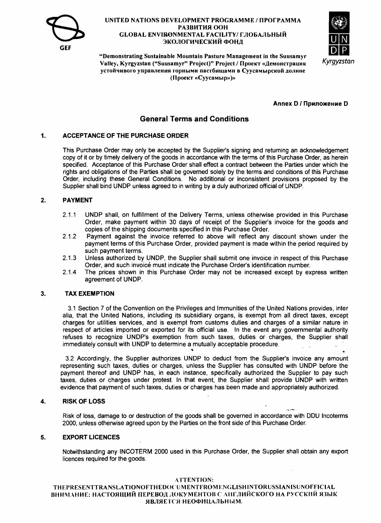



"Demonstrating Sustainable Mountain Pasture Management in the Suusamvr Valley, Kyrgyzstan ("Suusamyr" Project)" Project / Проект «Демонстрация устойчивого управления горными пастбищами в Суусамырской долине (Проект «Суусамыр»)»

**Аппех D / Приложение D** 

## **General Terms and Conditions**

#### $\mathbf{1}$ **ACCEPTANCE OF THE PURCHASE ORDER**

This Purchase Order may only be accepted by the Supplier's signing and returning an acknowledgement copy of it or by timely delivery of the goods in accordance with the terms of this Purchase Order, as herein specified. Acceptance of this Purchase Order shall effect a contract between the Parties under which the rights and obligations of the Parties shall be governed solely by the terms and conditions of this Purchase Order, including these General Conditions. No additional or inconsistent provisions proposed by the Supplier shall bind UNDP unless agreed to in writing by a duly authorized official of UNDP.

#### $\overline{2}$ . **PAYMENT**

- $2.1.1$ UNDP shall, on fulfillment of the Delivery Terms, unless otherwise provided in this Purchase Order, make payment within 30 days of receipt of the Supplier's invoice for the goods and copies of the shipping documents specified in this Purchase Order.
- $2.1.2$ Payment against the invoice referred to above will reflect any discount shown under the payment terms of this Purchase Order, provided payment is made within the period required by such payment terms.
- Unless authorized by UNDP, the Supplier shall submit one invoice in respect of this Purchase  $2.1.3$ Order, and such invoice must indicate the Purchase Order's identification number.
- $2.1.4$ The prices shown in this Purchase Order may not be increased except by express written agreement of UNDP.

#### $3.$ **TAX EXEMPTION**

3.1 Section 7 of the Convention on the Privileges and Immunities of the United Nations provides, inter alia, that the United Nations, including its subsidiary organs, is exempt from all direct taxes, except charges for utilities services, and is exempt from customs duties and charges of a similar nature in respect of articles imported or exported for its official use. In the event any governmental authority refuses to recognize UNDP's exemption from such taxes, duties or charges, the Supplier shall immediately consult with UNDP to determine a mutually acceptable procedure.

3.2 Accordingly, the Supplier authorizes UNDP to deduct from the Supplier's invoice any amount representing such taxes, duties or charges, unless the Supplier has consulted with UNDP before the payment thereof and UNDP has, in each instance, specifically authorized the Supplier to pay such taxes, duties or charges under protest. In that event, the Supplier shall provide UNDP with written evidence that payment of such taxes, duties or charges has been made and appropriately authorized.

#### **RISK OF LOSS** 4.

Risk of loss, damage to or destruction of the goods shall be governed in accordance with DDU Incoterms 2000, unless otherwise agreed upon by the Parties on the front side of this Purchase Order.

#### 5. **EXPORT LICENCES**

Notwithstanding any INCOTERM 2000 used in this Purchase Order, the Supplier shall obtain any export licences required for the goods.

 $\sim$ 

#### **ATTENTION:**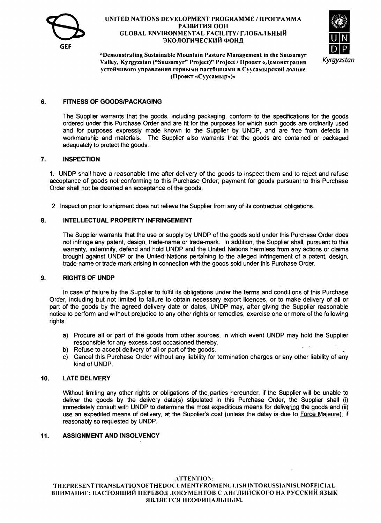

# UNITED NATIONS DEVELOPMENT PROGRAMME / ПРОГРАММА GLOBAL ENVIRONMENTAL FACILITY/ PA3BИТИЯ ООН MME / ПРОГРАММА<br>ГЛОБАЛЬНЫЙ<br>-



**ЭКОЛОГИЧЕСКИЙ ФОНД**<br>• Demonstrating Sustainable Mountain Pasture Management in the Suusamyr<sup>.</sup> Valley, Kyrgyzstan ("Suusamyr" Project)" Project / Проект «Демонстрация устойчивого управления горными пастбищами в Суусамырской долине (Ilpoexr «Cyycasnap»)»

### 6. **FITNESS OF GOODS/PACKAGING**

The Supplier warrants that the goods, including packaging, conform to the specifications for the goods ordered under this Purchase Order and are fit for the purposes for which such goods are ordinarily used and for purposes expressly made known to the Supplier by UNDP, and are free from defects in workmanship and materials. The Supplier also warrants that the goods are contained or packaged adequately to protect the goods.

### 7. **INSPECTION**

1. UNDP shall have a reasonable time after delivery of the goods to inspect them and to reject and refuse acceptance of goods not conforming to this Purchase Order; payment for goods pursuant to this Purchase Order shall not be deemed an acceptance of the goods.

2. Inspection prior to shipment does not relieve the Supplier from any of its contractual obligations.

### 8. **INTELLECTUAL PROPERTY INFRINGEMENT**

The Supplier warrants that the use or supply by UNDP of the goods sold under this Purchase Order does not infringe any patent, design, trade-name or trade-mark. In addition, the Supplier shall, pursuant to this warranty, indemnify, defend and hold UNDP and the United Nations harmless from any actions or claims brought against UNDP or the United Nations pertaining to the alleged infringement of a patent, design, trade-name or trade-mark arising in connection with the goods sold under this Purchase Order.

### 9. **RIGHTS OF UNDP**

In case of failure by the Supplier to fulfil its obligations under the terms and conditions of this Purchase Order, including but not limited to failure to obtain necessary export licences, or to make delivery of all or part of the goods by the agreed delivery date or dates, UNDP may, after giving the Supplier reasonable notice to perform and without prejudice to any other rights or remedies, exercise one or more of the following rights:

- a) Procure all or part of the goods from other sources, in which event UNDP may hold the Supplier responsible for any excess cost occasioned thereby.
- b) Refuse to accept delivery of all or part of the goods.
- c) Cancel this Purchase Order without any liability for termination charges or any other liability of any kind of UNDP.

### 10. **LATE DELIVERY**

Without limiting any other rights or obligations of the parties hereunder, if the Supplier will be unable to deliver the goods by the delivery date(s) stipulated in this Purchase Order, the Supplier shall (i) immediately consult with UNDP to determine the most expeditious means for delivering the goods and (ii) use an expedited means of delivery, at the Supplier's cost (unless the delay is due to Force Majeure), if reasonably so requested by UNDP.

### 11. **ASSIGNMENT AND INSOLVENCY**

### ATTENTION: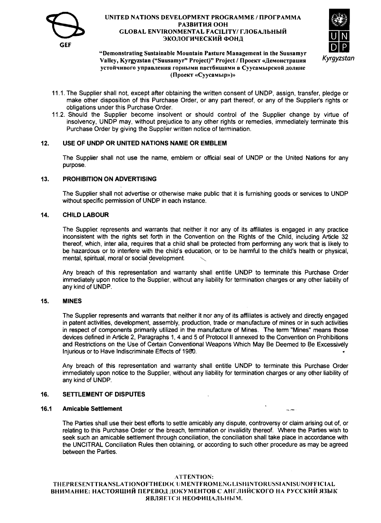

### UNITED NATIONS DEVELOPMENT PROGRAMME / ПРОГРАММА GLOBAL ENVIRONMENTAL FACILITY/ PA3BИТИЯ ООН име / Программа<br>Глобальный **IIII ЭКОЛОГИЧЕСКИЙ ФОНД**



# GEF<br>
"Demonstrating Sustainable Mountain Pasture Management in the Suusamyr<br>
Valley Kyrgyzstan ("Suusamyr" Project)" Project / **Hnoekt «Jemouctnauus** Kyrgyzstan Valley, Kyrgyzstan ("Suusamyr" Project)" Project / Проект «Демонстрация устойчивого управления горными пастбищами в Суусамырской долине (Проект «Суусамыр»)»

- 11.1. The Supplier shall not, except after obtaining the written consent of UNDP, assign, transfer, pledge or make other disposition of this Purchase Order, or any part thereof, or any of the Supplier's rights or obligations under this Purchase Order.
- 11.2. Should the Supplier become insolvent or should control of the Supplier change by virtue of insolvency, UNDP may, without prejudice to any other rights or remedies, immediately terminate this Purchase Order by giving the Supplier written notice of termination.

### 12. USE OF UNDP OR UNITED NATIONS NAME OR EMBLEM

The Supplier shall not use the name, emblem or official seal of UNDP or the United Nations for any purpose.

### 13. PROHIBITION ON ADVERTISING

The Supplier shall not advertise or otherwise make public that it is furnishing goods or services to UNDP without specific permission of UNDP in each instance.

#### 14. CHILD LABOUR

The Supplier represents and warrants that neither it nor any of its affiliates is engaged in any practice inconsistent with the rights set forth in the Convention on the Rights of the Child, including Article 32 thereof, which, inter alia, requires that a child shall be protected from performing any work that is likely to be hazardous or to interfere with the child's education, or to be harmful to the child's health or physical, mental, spiritual, moral or social development.

Any breach of this representation and warranty shall entitle UNDP to terminate this Purchase Order immediately upon notice to the Supplier, without any liability for termination charges or any other liability of any kind of UNDP.

### 15. MINES

The Supplier represents and warrants that neither it nor any of its affiliates is actively and directly engaged in patent activities, development, assembly, production, trade or manufacture of mines or in such activities in respect of components primarily utilized in the manufacture of Mines. The term "Mines" means those devices defined in Article 2, Paragraphs 1, 4 and 5 of Protocol II annexed to the Convention on Prohibitions and Restrictions on the Use of Certain Conventional Weapons Which May Be Deemed to Be Excessively Injurious or to Have Indiscriminate Effects of 1980.

Any breach of this representation and warranty shall entitle UNDP to terminate this Purchase Order immediately upon notice to the Supplier, without any liability for termination charges or any other liability of any kind of UNDP.

### 16. SETTLEMENT OF DISPUTES

#### 16.1 Amicable Settlement

The Parties shall use their best efforts to settle amicably any dispute, controversy or claim arising out of, or relating to this Purchase Order or the breach, termination or invalidity thereof. Where the Parties wish to seek such an amicable settlement through conciliation, the conciliation shall take place in accordance with the UNCITRAL Conciliation Rules then obtaining, or according to such other procedure as may be agreed between the Parties.

#### ATTENTION: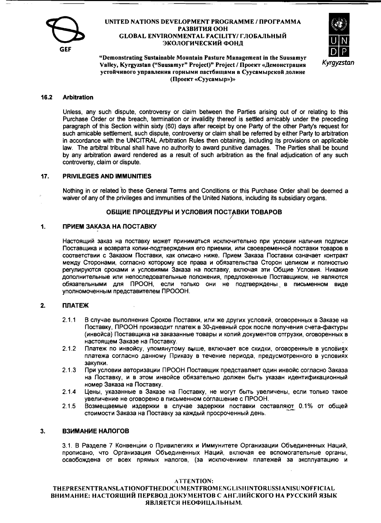



"Demonstrating Sustainable Mountain Pasture Management in the Suusamyr Valley, Kyrgyzstan ("Suusamyr" Project)" Project / Проект «Лемонстрация устойчивого управления горными пастбищами в Суусамырской долине (Проект «Суусамыр»)»

#### 16.2 **Arbitration**

Unless, any such dispute, controversy or claim between the Parties arising out of or relating to this Purchase Order or the breach, termination or invalidity thereof is settled amicably under the preceding paragraph of this Section within sixty (60) days after receipt by one Party of the other Party's request for such amicable settlement, such dispute, controversy or claim shall be referred by either Party to arbitration in accordance with the UNCITRAL Arbitration Rules then obtaining, including its provisions on applicable law. The arbitral tribunal shall have no authority to award punitive damages. The Parties shall be bound by any arbitration award rendered as a result of such arbitration as the final adjudication of any such controversy, claim or dispute.

#### PRIVILEGES AND IMMUNITIES  $17.$

Nothing in or related to these General Terms and Conditions or this Purchase Order shall be deemed a waiver of any of the privileges and immunities of the United Nations, including its subsidiary organs.

### ОБЩИЕ ПРОЦЕДУРЫ И УСЛОВИЯ ПОСТАВКИ ТОВАРОВ

#### $\mathbf 1$ ПРИЕМ ЗАКАЗА НА ПОСТАВКУ

Настоящий заказ на поставку может приниматься исключительно при условии наличия подписи Поставщика и возврата копии-подтверждения его приемки, или своевременной поставки товаров в соответствии с Заказом Поставки, как описано ниже. Прием Заказа Поставки означает контракт между Сторонами, согласно которому все права и обязательства Сторон целиком и полностью регулируются сроками и условиями Заказа на поставку, включая эти Общие Условия. Никакие дополнительные или непоследовательные положения, предложенные Поставщиком, не являются обязательными для ПРООН, если только они не подтверждены в письменном виде уполномоченным представителем ПРОООН.

#### $2.$ **ПЛАТЕЖ**

- $2.1.1$ В случае выполнения Сроков Поставки, или же других условий, оговоренных в Заказе на Поставку, ПРООН производит платеж в 30-дневный срок после получения счета-фактуры (инвойса) Поставщика на заказанные товары и копий документов отгрузки, оговоренных в настоящем Заказе на Поставку.
- $2.1.2$ Платеж по инвойсу, упомянутому выше, включает все скидки, оговоренные в условиях платежа согласно данному Приказу в течение периода, предусмотренного в условиях закупки.
- $2.1.3$ При условии авторизации ПРООН Поставшик представляет один инвойс согласно Заказа на Поставку, и в этом инвойсе обязательно должен быть указан идентификационный номер Заказа на Поставку.
- $2.1.4$ Цены, указанные в Заказе на Поставку, не могут быть увеличены, если только такое увеличение не оговорено в письменном соглашение с ПРООН.
- $2.1.5$ Возмещаемые издержки в случае задержки поставки составляют 0.1% от общей стоимости Заказа на Поставку за каждый просроченный день.

#### 3. ВЗИМАНИЕ НАЛОГОВ

3.1. В Разделе 7 Конвенции о Привилегиях и Иммунитете Организации Объединенных Наций, прописано, что Организация Объединенных Наций, включая ее вспомогательные органы, освобождена от всех прямых налогов, (за исключением платежей за эксплуатацию и

#### **ATTENTION:**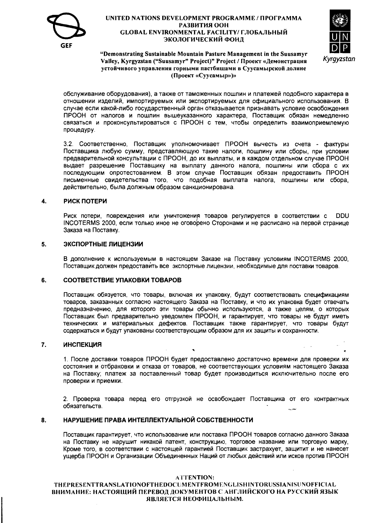



"Demonstrating Sustainable Mountain Pasture Management in the Suusamyr Valley, Kyrgyzstan ("Suusamyr" Project)" Project / Проект «Демонстрация устойчивого управления горными пастбищами в Суусамырской долине (Проект «Суусамыр»)»

обслуживание оборудования), а также от таможенных пошлин и платежей подобного характера в отношении изделий, импортируемых или экспортируемых для официального использования. В случае если какой-либо государственный орган отказывается признавать условие освобождения ПРООН от налогов и пошлин вышеуказанного характера, Поставщик обязан немедленно связаться и проконсультироваться с ПРООН с тем, чтобы определить взаимоприемлемую процедуру.

3.2. Соответственно, Поставщик уполномочивает ПРООН вычесть из счета - фактуры Поставщика любую сумму, представляющую такие налоги, пошлину или сборы, при условии предварительной консультации с ПРООН, до их выплаты, и в каждом отдельном случае ПРООН выдает разрешение Поставщику на выплату данного налога, пошлины или сбора с их последующим опротестованием. В этом случае Поставщик обязан предоставить ПРООН письменные свидетельства того, что подобная выплата налога, пошлины или сбора, действительно, была должным образом санкционирована.

#### РИСК ПОТЕРИ  $\overline{\mathbf{4}}$

Риск потери, повреждения или уничтожения товаров регулируется в соответствии с **DDU** INCOTERMS 2000, если только иное не оговорено Сторонами и не расписано на первой странице Заказа на Поставку.

#### 5. ЭКСПОРТНЫЕ ЛИЦЕНЗИИ

В дополнение к используемым в настоящем Заказе на Поставку условиям INCOTERMS 2000, Поставшик должен предоставить все экспортные лицензии, необходимые для поставки товаров.

#### СООТВЕТСТВИЕ УПАКОВКИ ТОВАРОВ 6.

Поставщик обязуется, что товары, включая их упаковку, будут соответствовать спецификациям товаров, заказанных согласно настоящего Заказа на Поставку, и что их упаковка будет отвечать предназначению. для которого эти товары обычно используются, а также целям, о которых Поставщик был предварительно уведомлен ПРООН, и гарантирует, что товары не будут иметь технических и материальных дефектов. Поставщик также гарантирует, что товары будут содержаться и будут упакованы соответствующим образом для их защиты и сохранности.

#### 7. **ИНСПЕКЦИЯ**

1. После доставки товаров ПРООН будет предоставлено достаточно времени для проверки их состояния и отбраковки и отказа от товаров, не соответствующих условиям настоящего Заказа на Поставку; платеж за поставленный товар будет производиться исключительно после его проверки и приемки.

2. Проверка товара перед его отгрузкой не освобождает Поставщика от его контрактных обязательств.

#### НАРУШЕНИЕ ПРАВА ИНТЕЛЛЕКТУАЛЬНОЙ СОБСТВЕННОСТИ 8.

Поставшик гарантирует, что использование или поставка ПРООН товаров согласно данного Заказа на Поставку не нарушит никакой патент, конструкцию, торговое название или торговую марку, Кроме того, в соответствии с настоящей гарантией Поставщик застрахует, защитит и не нанесет ущерба ПРООН и Организации Объединенных Наций от любых действий или исков против ПРООН

#### **ATTENTION:**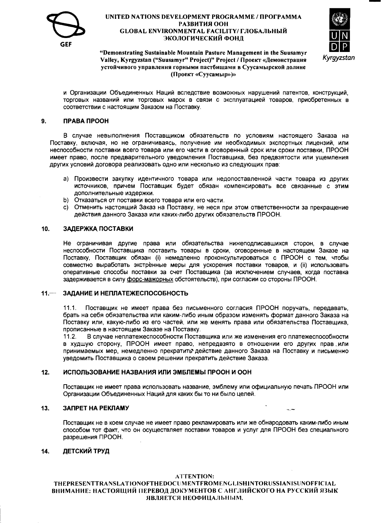



#### "Demonstrating Sustainable Mountain Pasture Management in the Suusamyr Valley, Kyrgyzstan ("Suusamyr" Project)" Project / Проект «Демонстрация устойчивого управления горными пастбищами в Суусамырской долине (Проект «Суусамыр»)»

и Организации Объединенных Наций вследствие возможных нарушений патентов, конструкций, торговых названий или торговых марок в связи с эксплуатацией товаров, приобретенных в соответствии с настоящим Заказом на Поставку.

#### ПРАВА ПРООН 9.

В случае невыполнения Поставщиком обязательств по условиям настоящего Заказа на Поставку, включая, но не ограничиваясь, получение им необходимых экспортных лицензий, или неспособности поставки всего товара или его части в оговоренный срок или сроки поставки. ПРООН имеет право, после предварительного уведомления Поставшика. без предвзятости или ушемления других условий договора реализовать одно или несколько из следующих прав:

- а) Произвести закупку идентичного товара или недопоставленной части товара из других источников, причем Поставщик будет обязан компенсировать все связанные с этим дополнительные издержки.
- b) Отказаться от поставки всего товара или его части.
- с) Отменить настоящий Заказ на Поставку, не неся при этом ответственности за прекращение действия данного Заказа или каких-либо других обязательств ПРООН.

#### 10. ЗАДЕРЖКА ПОСТАВКИ

Не ограничивая другие права или обязательства нижеподписавшихся сторон, в случае неспособности Поставщика поставить товары в сроки, оговоренные в настоящем Заказе на Поставку, Поставщик обязан (i) немедленно проконсультироваться с ПРООН с тем, чтобы совместно выработать экстренные меры для ускорения поставки товаров, и (ii) использовать оперативные способы поставки за счет Поставщика (за исключением случаев, когда поставка задерживается в силу форс-мажорных обстоятельств), при согласии со стороны ПРООН.

#### $11 -$ ЗАДАНИЕ И НЕПЛАТЕЖЕСПОСОБНОСТЬ

Поставщик не имеет права без письменного согласия ПРООН поручать, передавать,  $111$ брать на себя обязательства или каким-либо иным образом изменять формат данного Заказа на Поставку или, какую-либо из его частей, или же менять права или обязательства Поставщика, прописанные в настоящем Заказе на Поставку.

В случае неплатежеспособности Поставщика или же изменения его платежеспособности  $11.2.$ в худшую сторону. ПРООН имеет право, непредвзято в отношении его других прав или принимаемых мер, немедленно прекратить действие данного Заказа на Поставку и письменно уведомить Поставщика о своем решении прекратить действие Заказа.

#### ИСПОЛЬЗОВАНИЕ НАЗВАНИЯ ИЛИ ЭМБЛЕМЫ ПРООН И ООН  $12.$

Поставщик не имеет права использовать название, эмблему или официальную печать ПРООН или Организации Объединенных Наций для каких бы то ни было целей.

للمارد

#### ЗАПРЕТ НА РЕКЛАМУ  $13.$

Поставщик не в коем случае не имеет право рекламировать или же обнародовать каким-либо иным способом тот факт, что он осуществляет поставки товаров и услуг для ПРООН без специального разрешения ПРООН.

#### ДЕТСКИЙ ТРУД 14.

#### **ATTENTION:**